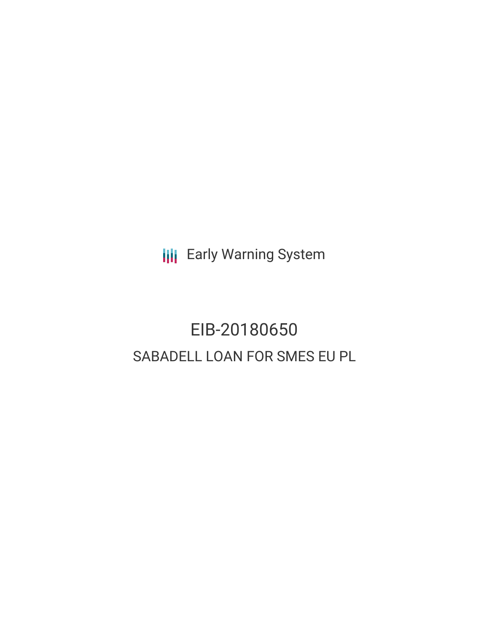**III** Early Warning System

# EIB-20180650 SABADELL LOAN FOR SMES EU PL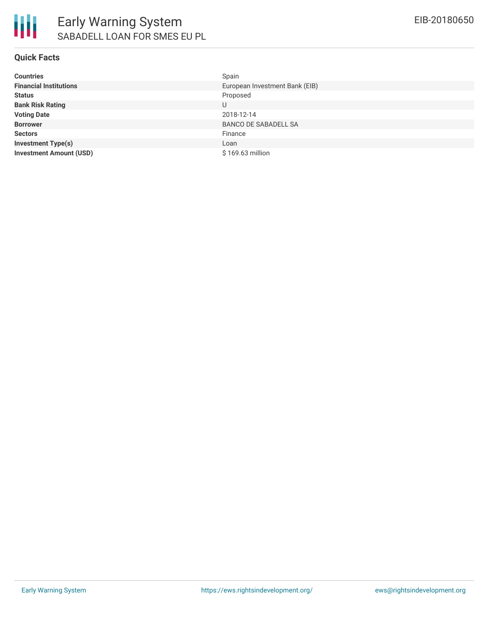

#### **Quick Facts**

| <b>Countries</b>               | Spain                          |
|--------------------------------|--------------------------------|
| <b>Financial Institutions</b>  | European Investment Bank (EIB) |
| <b>Status</b>                  | Proposed                       |
| <b>Bank Risk Rating</b>        | U                              |
| <b>Voting Date</b>             | 2018-12-14                     |
| <b>Borrower</b>                | <b>BANCO DE SABADELL SA</b>    |
| <b>Sectors</b>                 | Finance                        |
| <b>Investment Type(s)</b>      | Loan                           |
| <b>Investment Amount (USD)</b> | \$169.63 million               |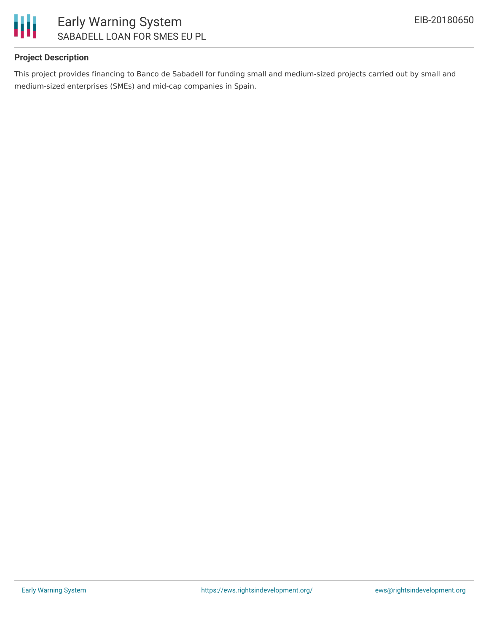

# **Project Description**

This project provides financing to Banco de Sabadell for funding small and medium-sized projects carried out by small and medium-sized enterprises (SMEs) and mid-cap companies in Spain.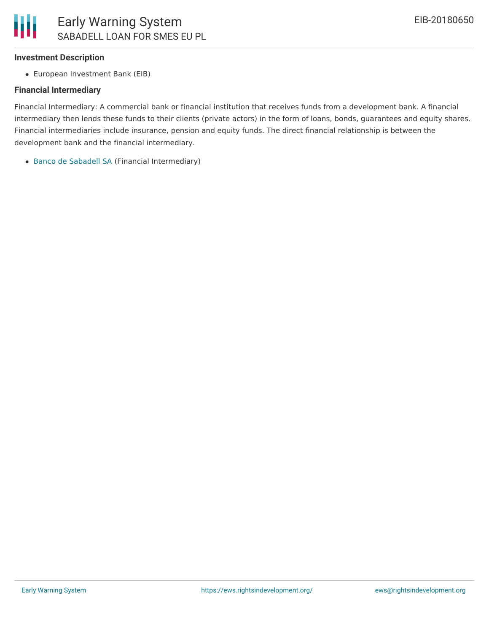#### **Investment Description**

European Investment Bank (EIB)

#### **Financial Intermediary**

Financial Intermediary: A commercial bank or financial institution that receives funds from a development bank. A financial intermediary then lends these funds to their clients (private actors) in the form of loans, bonds, guarantees and equity shares. Financial intermediaries include insurance, pension and equity funds. The direct financial relationship is between the development bank and the financial intermediary.

Banco de [Sabadell](file:///actor/540/) SA (Financial Intermediary)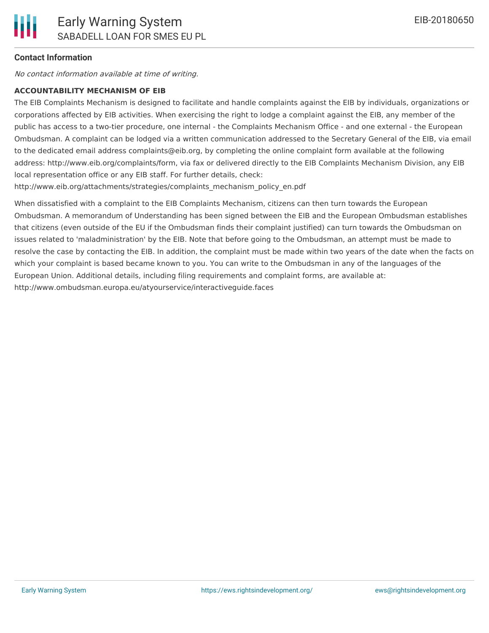### **Contact Information**

No contact information available at time of writing.

#### **ACCOUNTABILITY MECHANISM OF EIB**

The EIB Complaints Mechanism is designed to facilitate and handle complaints against the EIB by individuals, organizations or corporations affected by EIB activities. When exercising the right to lodge a complaint against the EIB, any member of the public has access to a two-tier procedure, one internal - the Complaints Mechanism Office - and one external - the European Ombudsman. A complaint can be lodged via a written communication addressed to the Secretary General of the EIB, via email to the dedicated email address complaints@eib.org, by completing the online complaint form available at the following address: http://www.eib.org/complaints/form, via fax or delivered directly to the EIB Complaints Mechanism Division, any EIB local representation office or any EIB staff. For further details, check:

http://www.eib.org/attachments/strategies/complaints\_mechanism\_policy\_en.pdf

When dissatisfied with a complaint to the EIB Complaints Mechanism, citizens can then turn towards the European Ombudsman. A memorandum of Understanding has been signed between the EIB and the European Ombudsman establishes that citizens (even outside of the EU if the Ombudsman finds their complaint justified) can turn towards the Ombudsman on issues related to 'maladministration' by the EIB. Note that before going to the Ombudsman, an attempt must be made to resolve the case by contacting the EIB. In addition, the complaint must be made within two years of the date when the facts on which your complaint is based became known to you. You can write to the Ombudsman in any of the languages of the European Union. Additional details, including filing requirements and complaint forms, are available at: http://www.ombudsman.europa.eu/atyourservice/interactiveguide.faces